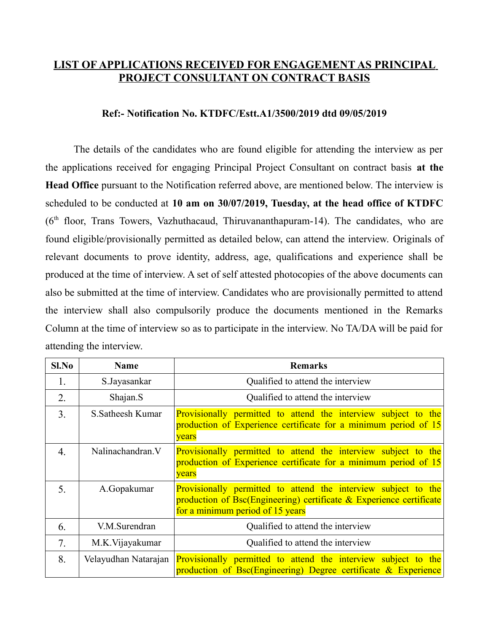## **LIST OF APPLICATIONS RECEIVED FOR ENGAGEMENT AS PRINCIPAL PROJECT CONSULTANT ON CONTRACT BASIS**

## **Ref:- Notification No. KTDFC/Estt.A1/3500/2019 dtd 09/05/2019**

The details of the candidates who are found eligible for attending the interview as per the applications received for engaging Principal Project Consultant on contract basis **at the Head Office** pursuant to the Notification referred above, are mentioned below. The interview is scheduled to be conducted at **10 am on 30/07/2019, Tuesday, at the head office of KTDFC**  $(6<sup>th</sup>$  floor, Trans Towers, Vazhuthacaud, Thiruvananthapuram-14). The candidates, who are found eligible/provisionally permitted as detailed below, can attend the interview. Originals of relevant documents to prove identity, address, age, qualifications and experience shall be produced at the time of interview. A set of self attested photocopies of the above documents can also be submitted at the time of interview. Candidates who are provisionally permitted to attend the interview shall also compulsorily produce the documents mentioned in the Remarks Column at the time of interview so as to participate in the interview. No TA/DA will be paid for attending the interview.

| Sl.No | <b>Name</b>          | <b>Remarks</b>                                                                                                                                                            |
|-------|----------------------|---------------------------------------------------------------------------------------------------------------------------------------------------------------------------|
| 1.    | S.Jayasankar         | Qualified to attend the interview                                                                                                                                         |
| 2.    | Shajan.S             | Qualified to attend the interview                                                                                                                                         |
| 3.    | S. Satheesh Kumar    | Provisionally permitted to attend the interview subject to the<br>production of Experience certificate for a minimum period of 15<br>years                                |
| 4.    | Nalinachandran. V    | Provisionally permitted to attend the interview subject to the<br>production of Experience certificate for a minimum period of 15<br>years                                |
| 5.    | A.Gopakumar          | Provisionally permitted to attend the interview subject to the<br>production of Bsc(Engineering) certificate & Experience certificate<br>for a minimum period of 15 years |
| 6.    | V.M.Surendran        | Qualified to attend the interview                                                                                                                                         |
| 7.    | M.K. Vijayakumar     | Qualified to attend the interview                                                                                                                                         |
| 8.    | Velayudhan Natarajan | Provisionally permitted to attend the interview subject to the<br>production of Bsc(Engineering) Degree certificate & Experience                                          |